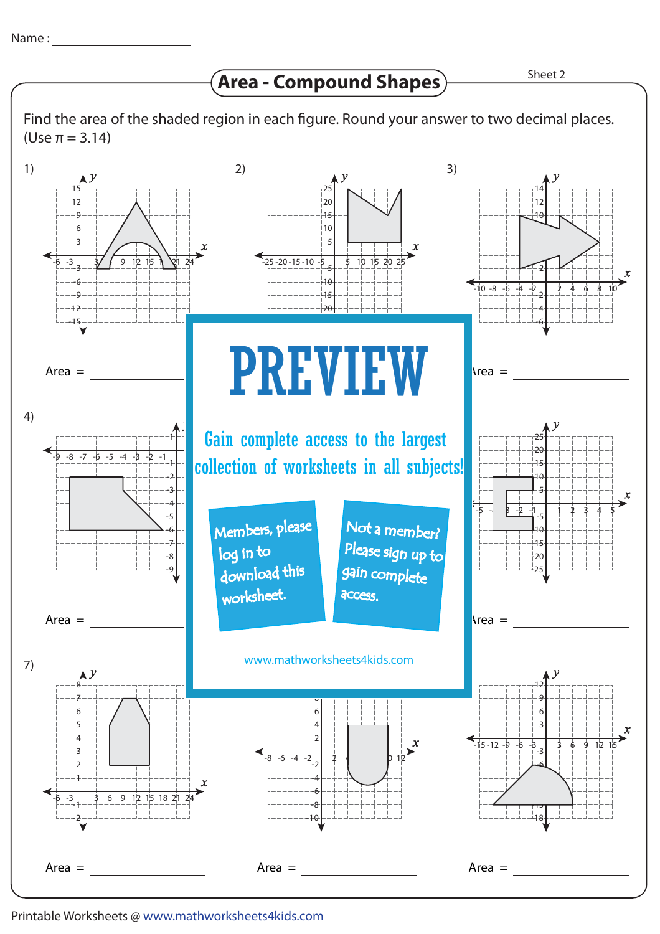**Area - Compound Shapes**

Find the area of the shaded region in each figure. Round your answer to two decimal places. (Use π = 3.14)



Printable Worksheets @ www.mathworksheets4kids.com